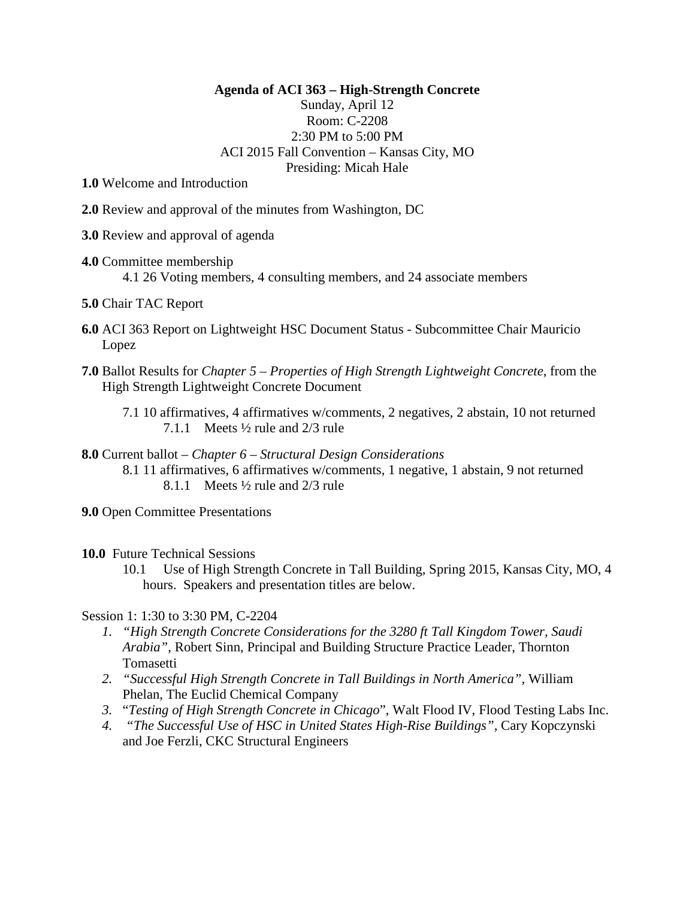**Agenda of ACI 363 – High-Strength Concrete**

Sunday, April 12 Room: C-2208 2:30 PM to 5:00 PM ACI 2015 Fall Convention – Kansas City, MO Presiding: Micah Hale

**1.0** Welcome and Introduction

- **2.0** Review and approval of the minutes from Washington, DC
- **3.0** Review and approval of agenda
- **4.0** Committee membership 4.1 26 Voting members, 4 consulting members, and 24 associate members
- **5.0** Chair TAC Report
- **6.0** ACI 363 Report on Lightweight HSC Document Status Subcommittee Chair Mauricio Lopez
- **7.0** Ballot Results for *Chapter 5 – Properties of High Strength Lightweight Concrete*, from the High Strength Lightweight Concrete Document
	- 7.1 10 affirmatives, 4 affirmatives w/comments, 2 negatives, 2 abstain, 10 not returned 7.1.1 Meets ½ rule and 2/3 rule
- **8.0** Current ballot *Chapter 6 – Structural Design Considerations* 8.1 11 affirmatives, 6 affirmatives w/comments, 1 negative, 1 abstain, 9 not returned 8.1.1 Meets ½ rule and 2/3 rule
- **9.0** Open Committee Presentations
- **10.0** Future Technical Sessions
	- 10.1 Use of High Strength Concrete in Tall Building, Spring 2015, Kansas City, MO, 4 hours. Speakers and presentation titles are below.

Session 1: 1:30 to 3:30 PM, C-2204

- *1. "High Strength Concrete Considerations for the 3280 ft Tall Kingdom Tower, Saudi Arabia"*, Robert Sinn, Principal and Building Structure Practice Leader, Thornton Tomasetti
- *2. "Successful High Strength Concrete in Tall Buildings in North America",* William Phelan, The Euclid Chemical Company
- *3.* "*Testing of High Strength Concrete in Chicago*", Walt Flood IV, Flood Testing Labs Inc.
- *4. "The Successful Use of HSC in United States High-Rise Buildings",* Cary Kopczynski and Joe Ferzli, CKC Structural Engineers